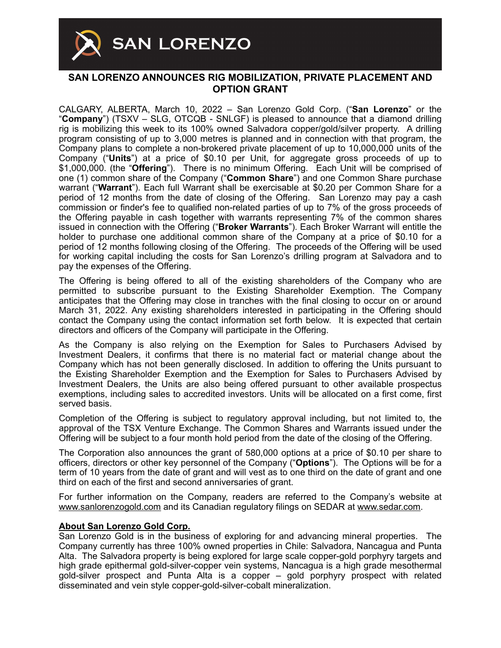

## **SAN LORENZO ANNOUNCES RIG MOBILIZATION, PRIVATE PLACEMENT AND OPTION GRANT**

CALGARY, ALBERTA, March 10, 2022 – San Lorenzo Gold Corp. ("**San Lorenzo**" or the "**Company**") (TSXV – SLG, OTCQB - SNLGF) is pleased to announce that a diamond drilling rig is mobilizing this week to its 100% owned Salvadora copper/gold/silver property. A drilling program consisting of up to 3,000 metres is planned and in connection with that program, the Company plans to complete a non-brokered private placement of up to 10,000,000 units of the Company ("**Units**") at a price of \$0.10 per Unit, for aggregate gross proceeds of up to \$1,000,000. (the "**Offering**"). There is no minimum Offering. Each Unit will be comprised of one (1) common share of the Company ("**Common Share**") and one Common Share purchase warrant ("**Warrant**"). Each full Warrant shall be exercisable at \$0.20 per Common Share for a period of 12 months from the date of closing of the Offering. San Lorenzo may pay a cash commission or finder's fee to qualified non-related parties of up to 7% of the gross proceeds of the Offering payable in cash together with warrants representing 7% of the common shares issued in connection with the Offering ("**Broker Warrants**"). Each Broker Warrant will entitle the holder to purchase one additional common share of the Company at a price of \$0.10 for a period of 12 months following closing of the Offering. The proceeds of the Offering will be used for working capital including the costs for San Lorenzo's drilling program at Salvadora and to pay the expenses of the Offering.

The Offering is being offered to all of the existing shareholders of the Company who are permitted to subscribe pursuant to the Existing Shareholder Exemption. The Company anticipates that the Offering may close in tranches with the final closing to occur on or around March 31, 2022. Any existing shareholders interested in participating in the Offering should contact the Company using the contact information set forth below. It is expected that certain directors and officers of the Company will participate in the Offering.

As the Company is also relying on the Exemption for Sales to Purchasers Advised by Investment Dealers, it confirms that there is no material fact or material change about the Company which has not been generally disclosed. In addition to offering the Units pursuant to the Existing Shareholder Exemption and the Exemption for Sales to Purchasers Advised by Investment Dealers, the Units are also being offered pursuant to other available prospectus exemptions, including sales to accredited investors. Units will be allocated on a first come, first served basis.

Completion of the Offering is subject to regulatory approval including, but not limited to, the approval of the TSX Venture Exchange. The Common Shares and Warrants issued under the Offering will be subject to a four month hold period from the date of the closing of the Offering.

The Corporation also announces the grant of 580,000 options at a price of \$0.10 per share to officers, directors or other key personnel of the Company ("**Options**"). The Options will be for a term of 10 years from the date of grant and will vest as to one third on the date of grant and one third on each of the first and second anniversaries of grant.

For further information on the Company, readers are referred to the Company's website at [www.sanlorenzogold.com](http://www.sanlorenzogold.com) and its Canadian regulatory filings on SEDAR at [www.sedar.com](http://www.sedar.com).

## **About San Lorenzo Gold Corp.**

San Lorenzo Gold is in the business of exploring for and advancing mineral properties. The Company currently has three 100% owned properties in Chile: Salvadora, Nancagua and Punta Alta. The Salvadora property is being explored for large scale copper-gold porphyry targets and high grade epithermal gold-silver-copper vein systems, Nancagua is a high grade mesothermal gold-silver prospect and Punta Alta is a copper – gold porphyry prospect with related disseminated and vein style copper-gold-silver-cobalt mineralization.